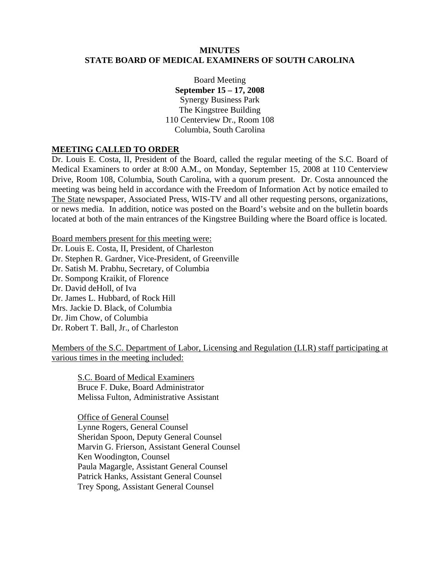#### **MINUTES STATE BOARD OF MEDICAL EXAMINERS OF SOUTH CAROLINA**

Board Meeting **September 15 – 17, 2008**  Synergy Business Park The Kingstree Building 110 Centerview Dr., Room 108 Columbia, South Carolina

### **MEETING CALLED TO ORDER**

Dr. Louis E. Costa, II, President of the Board, called the regular meeting of the S.C. Board of Medical Examiners to order at 8:00 A.M., on Monday, September 15, 2008 at 110 Centerview Drive, Room 108, Columbia, South Carolina, with a quorum present. Dr. Costa announced the meeting was being held in accordance with the Freedom of Information Act by notice emailed to The State newspaper, Associated Press, WIS-TV and all other requesting persons, organizations, or news media. In addition, notice was posted on the Board's website and on the bulletin boards located at both of the main entrances of the Kingstree Building where the Board office is located.

Board members present for this meeting were:

Dr. Louis E. Costa, II, President, of Charleston Dr. Stephen R. Gardner, Vice-President, of Greenville Dr. Satish M. Prabhu, Secretary, of Columbia Dr. Sompong Kraikit, of Florence Dr. David deHoll, of Iva Dr. James L. Hubbard, of Rock Hill Mrs. Jackie D. Black, of Columbia Dr. Jim Chow, of Columbia Dr. Robert T. Ball, Jr., of Charleston

Members of the S.C. Department of Labor, Licensing and Regulation (LLR) staff participating at various times in the meeting included:

S.C. Board of Medical Examiners Bruce F. Duke, Board Administrator Melissa Fulton, Administrative Assistant

 Office of General Counsel Lynne Rogers, General Counsel Sheridan Spoon, Deputy General Counsel Marvin G. Frierson, Assistant General Counsel Ken Woodington, Counsel Paula Magargle, Assistant General Counsel Patrick Hanks, Assistant General Counsel Trey Spong, Assistant General Counsel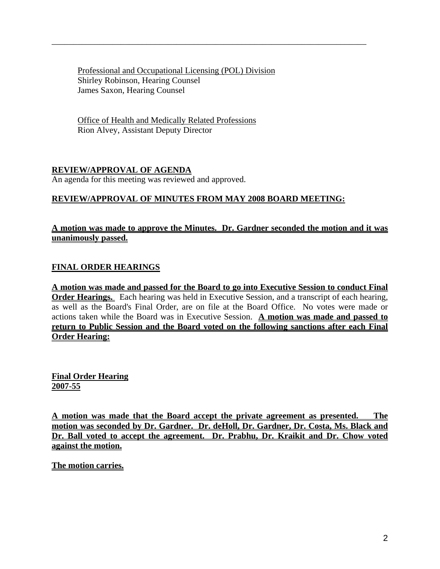Professional and Occupational Licensing (POL) Division Shirley Robinson, Hearing Counsel James Saxon, Hearing Counsel

\_\_\_\_\_\_\_\_\_\_\_\_\_\_\_\_\_\_\_\_\_\_\_\_\_\_\_\_\_\_\_\_\_\_\_\_\_\_\_\_\_\_\_\_\_\_\_\_\_\_\_\_\_\_\_\_\_\_\_\_\_\_\_\_\_\_\_\_\_\_\_\_\_

Office of Health and Medically Related Professions Rion Alvey, Assistant Deputy Director

# **REVIEW/APPROVAL OF AGENDA**

An agenda for this meeting was reviewed and approved.

# **REVIEW/APPROVAL OF MINUTES FROM MAY 2008 BOARD MEETING:**

# **A motion was made to approve the Minutes. Dr. Gardner seconded the motion and it was unanimously passed.**

# **FINAL ORDER HEARINGS**

**A motion was made and passed for the Board to go into Executive Session to conduct Final Order Hearings.** Each hearing was held in Executive Session, and a transcript of each hearing, as well as the Board's Final Order, are on file at the Board Office. No votes were made or actions taken while the Board was in Executive Session. **A motion was made and passed to return to Public Session and the Board voted on the following sanctions after each Final Order Hearing:**

**Final Order Hearing 2007-55**

**A motion was made that the Board accept the private agreement as presented. The motion was seconded by Dr. Gardner. Dr. deHoll, Dr. Gardner, Dr. Costa, Ms. Black and Dr. Ball voted to accept the agreement. Dr. Prabhu, Dr. Kraikit and Dr. Chow voted against the motion.** 

**The motion carries.**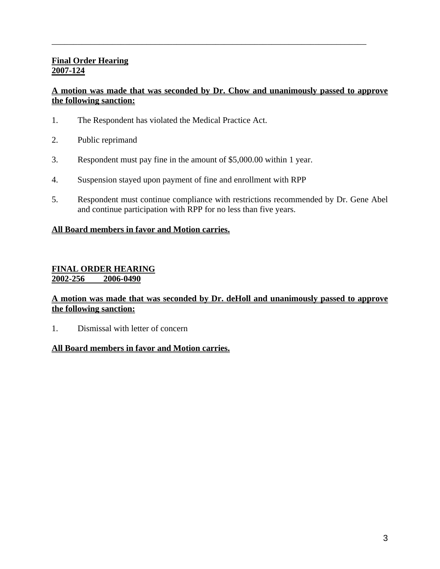# **Final Order Hearing 2007-124**

# **A motion was made that was seconded by Dr. Chow and unanimously passed to approve the following sanction:**

\_\_\_\_\_\_\_\_\_\_\_\_\_\_\_\_\_\_\_\_\_\_\_\_\_\_\_\_\_\_\_\_\_\_\_\_\_\_\_\_\_\_\_\_\_\_\_\_\_\_\_\_\_\_\_\_\_\_\_\_\_\_\_\_\_\_\_\_\_\_\_\_\_

- 1. The Respondent has violated the Medical Practice Act.
- 2. Public reprimand
- 3. Respondent must pay fine in the amount of \$5,000.00 within 1 year.
- 4. Suspension stayed upon payment of fine and enrollment with RPP
- 5. Respondent must continue compliance with restrictions recommended by Dr. Gene Abel and continue participation with RPP for no less than five years.

### **All Board members in favor and Motion carries.**

### **FINAL ORDER HEARING 2002-256 2006-0490**

### **A motion was made that was seconded by Dr. deHoll and unanimously passed to approve the following sanction:**

1. Dismissal with letter of concern

#### **All Board members in favor and Motion carries.**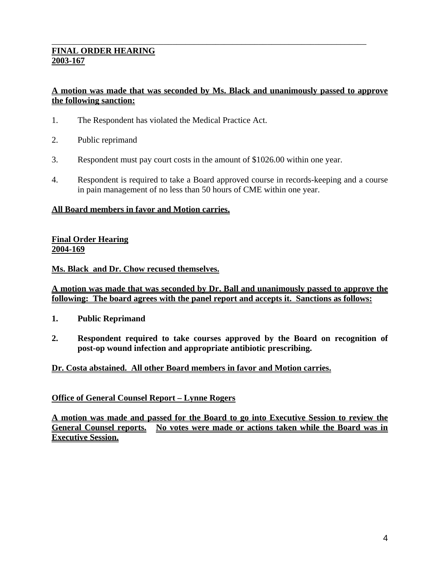## **FINAL ORDER HEARING 2003-167**

# **A motion was made that was seconded by Ms. Black and unanimously passed to approve the following sanction:**

\_\_\_\_\_\_\_\_\_\_\_\_\_\_\_\_\_\_\_\_\_\_\_\_\_\_\_\_\_\_\_\_\_\_\_\_\_\_\_\_\_\_\_\_\_\_\_\_\_\_\_\_\_\_\_\_\_\_\_\_\_\_\_\_\_\_\_\_\_\_\_\_\_

- 1. The Respondent has violated the Medical Practice Act.
- 2. Public reprimand
- 3. Respondent must pay court costs in the amount of \$1026.00 within one year.
- 4. Respondent is required to take a Board approved course in records-keeping and a course in pain management of no less than 50 hours of CME within one year.

#### **All Board members in favor and Motion carries.**

### **Final Order Hearing 2004-169**

**Ms. Black and Dr. Chow recused themselves.**

#### **A motion was made that was seconded by Dr. Ball and unanimously passed to approve the following: The board agrees with the panel report and accepts it. Sanctions as follows:**

- **1. Public Reprimand**
- **2. Respondent required to take courses approved by the Board on recognition of post-op wound infection and appropriate antibiotic prescribing.**

#### **Dr. Costa abstained. All other Board members in favor and Motion carries.**

#### **Office of General Counsel Report – Lynne Rogers**

**A motion was made and passed for the Board to go into Executive Session to review the General Counsel reports. No votes were made or actions taken while the Board was in Executive Session.**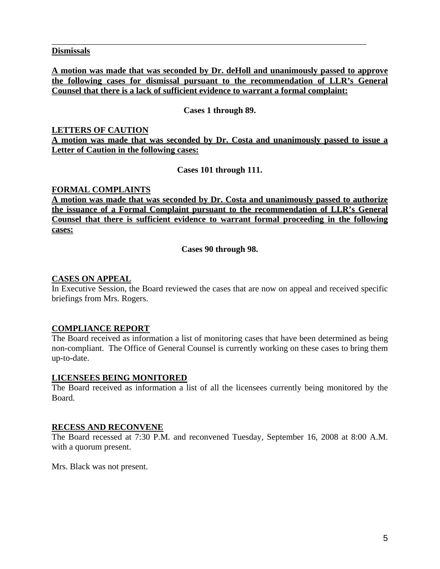#### **Dismissals**

**A motion was made that was seconded by Dr. deHoll and unanimously passed to approve the following cases for dismissal pursuant to the recommendation of LLR's General Counsel that there is a lack of sufficient evidence to warrant a formal complaint:**

\_\_\_\_\_\_\_\_\_\_\_\_\_\_\_\_\_\_\_\_\_\_\_\_\_\_\_\_\_\_\_\_\_\_\_\_\_\_\_\_\_\_\_\_\_\_\_\_\_\_\_\_\_\_\_\_\_\_\_\_\_\_\_\_\_\_\_\_\_\_\_\_\_

### **Cases 1 through 89.**

# **LETTERS OF CAUTION**

**A motion was made that was seconded by Dr. Costa and unanimously passed to issue a Letter of Caution in the following cases:**

**Cases 101 through 111.** 

### **FORMAL COMPLAINTS**

**A motion was made that was seconded by Dr. Costa and unanimously passed to authorize the issuance of a Formal Complaint pursuant to the recommendation of LLR's General Counsel that there is sufficient evidence to warrant formal proceeding in the following cases:**

**Cases 90 through 98.** 

### **CASES ON APPEAL**

In Executive Session, the Board reviewed the cases that are now on appeal and received specific briefings from Mrs. Rogers.

## **COMPLIANCE REPORT**

The Board received as information a list of monitoring cases that have been determined as being non-compliant. The Office of General Counsel is currently working on these cases to bring them up-to-date.

#### **LICENSEES BEING MONITORED**

The Board received as information a list of all the licensees currently being monitored by the Board.

#### **RECESS AND RECONVENE**

The Board recessed at 7:30 P.M. and reconvened Tuesday, September 16, 2008 at 8:00 A.M. with a quorum present.

Mrs. Black was not present.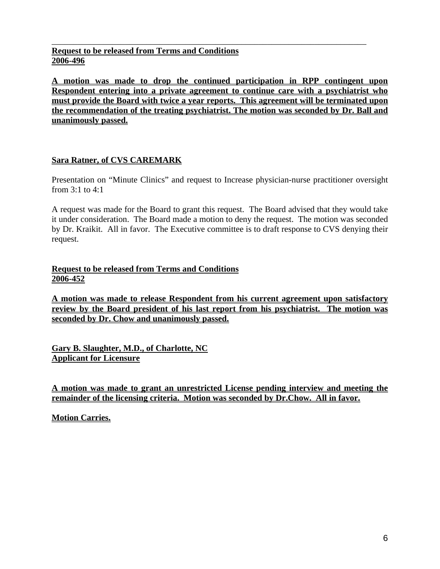**Request to be released from Terms and Conditions 2006-496** 

**A motion was made to drop the continued participation in RPP contingent upon Respondent entering into a private agreement to continue care with a psychiatrist who must provide the Board with twice a year reports. This agreement will be terminated upon the recommendation of the treating psychiatrist. The motion was seconded by Dr. Ball and unanimously passed.**

\_\_\_\_\_\_\_\_\_\_\_\_\_\_\_\_\_\_\_\_\_\_\_\_\_\_\_\_\_\_\_\_\_\_\_\_\_\_\_\_\_\_\_\_\_\_\_\_\_\_\_\_\_\_\_\_\_\_\_\_\_\_\_\_\_\_\_\_\_\_\_\_\_

## **Sara Ratner, of CVS CAREMARK**

Presentation on "Minute Clinics" and request to Increase physician-nurse practitioner oversight from 3:1 to 4:1

A request was made for the Board to grant this request. The Board advised that they would take it under consideration. The Board made a motion to deny the request. The motion was seconded by Dr. Kraikit. All in favor. The Executive committee is to draft response to CVS denying their request.

## **Request to be released from Terms and Conditions 2006-452**

**A motion was made to release Respondent from his current agreement upon satisfactory review by the Board president of his last report from his psychiatrist. The motion was seconded by Dr. Chow and unanimously passed.**

**Gary B. Slaughter, M.D., of Charlotte, NC Applicant for Licensure**

**A motion was made to grant an unrestricted License pending interview and meeting the remainder of the licensing criteria. Motion was seconded by Dr.Chow. All in favor.** 

**Motion Carries.**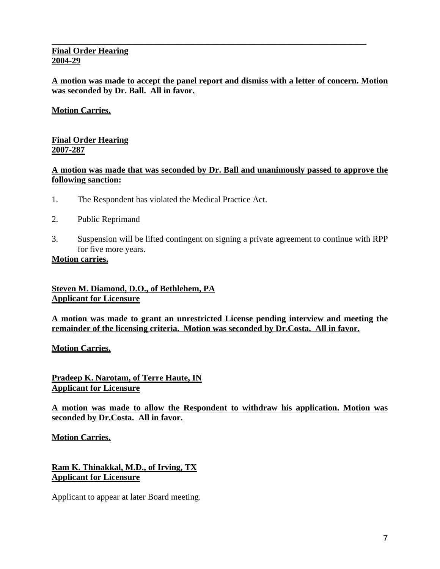### **Final Order Hearing 2004-29**

## **A motion was made to accept the panel report and dismiss with a letter of concern. Motion was seconded by Dr. Ball. All in favor.**

\_\_\_\_\_\_\_\_\_\_\_\_\_\_\_\_\_\_\_\_\_\_\_\_\_\_\_\_\_\_\_\_\_\_\_\_\_\_\_\_\_\_\_\_\_\_\_\_\_\_\_\_\_\_\_\_\_\_\_\_\_\_\_\_\_\_\_\_\_\_\_\_\_

# **Motion Carries.**

# **Final Order Hearing 2007-287**

# **A motion was made that was seconded by Dr. Ball and unanimously passed to approve the following sanction:**

- 1. The Respondent has violated the Medical Practice Act.
- 2. Public Reprimand
- 3. Suspension will be lifted contingent on signing a private agreement to continue with RPP for five more years.

#### **Motion carries.**

**Steven M. Diamond, D.O., of Bethlehem, PA Applicant for Licensure**

**A motion was made to grant an unrestricted License pending interview and meeting the remainder of the licensing criteria. Motion was seconded by Dr.Costa. All in favor.** 

**Motion Carries.**

**Pradeep K. Narotam, of Terre Haute, IN Applicant for Licensure**

**A motion was made to allow the Respondent to withdraw his application. Motion was seconded by Dr.Costa. All in favor.** 

**Motion Carries.**

**Ram K. Thinakkal, M.D., of Irving, TX Applicant for Licensure**

Applicant to appear at later Board meeting.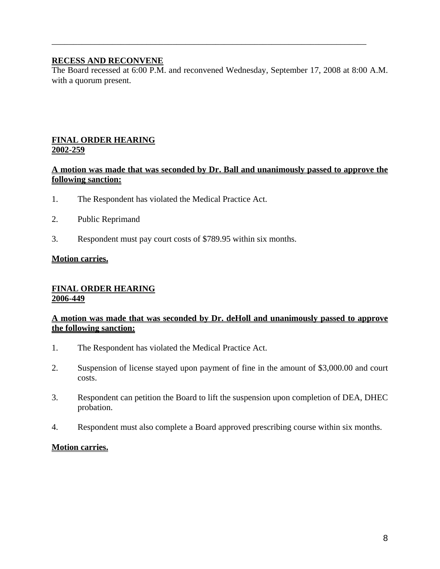## **RECESS AND RECONVENE**

The Board recessed at 6:00 P.M. and reconvened Wednesday, September 17, 2008 at 8:00 A.M. with a quorum present.

\_\_\_\_\_\_\_\_\_\_\_\_\_\_\_\_\_\_\_\_\_\_\_\_\_\_\_\_\_\_\_\_\_\_\_\_\_\_\_\_\_\_\_\_\_\_\_\_\_\_\_\_\_\_\_\_\_\_\_\_\_\_\_\_\_\_\_\_\_\_\_\_\_

#### **FINAL ORDER HEARING 2002-259**

## **A motion was made that was seconded by Dr. Ball and unanimously passed to approve the following sanction:**

- 1. The Respondent has violated the Medical Practice Act.
- 2. Public Reprimand
- 3. Respondent must pay court costs of \$789.95 within six months.

#### **Motion carries.**

#### **FINAL ORDER HEARING 2006-449**

### **A motion was made that was seconded by Dr. deHoll and unanimously passed to approve the following sanction:**

- 1. The Respondent has violated the Medical Practice Act.
- 2. Suspension of license stayed upon payment of fine in the amount of \$3,000.00 and court costs.
- 3. Respondent can petition the Board to lift the suspension upon completion of DEA, DHEC probation.
- 4. Respondent must also complete a Board approved prescribing course within six months.

#### **Motion carries.**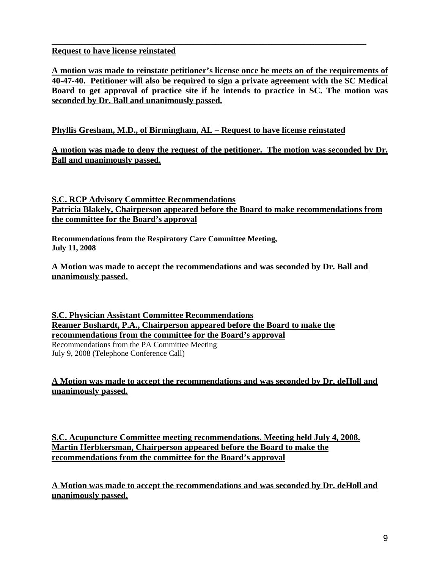## **Request to have license reinstated**

**A motion was made to reinstate petitioner's license once he meets on of the requirements of 40-47-40. Petitioner will also be required to sign a private agreement with the SC Medical Board to get approval of practice site if he intends to practice in SC. The motion was seconded by Dr. Ball and unanimously passed.**

\_\_\_\_\_\_\_\_\_\_\_\_\_\_\_\_\_\_\_\_\_\_\_\_\_\_\_\_\_\_\_\_\_\_\_\_\_\_\_\_\_\_\_\_\_\_\_\_\_\_\_\_\_\_\_\_\_\_\_\_\_\_\_\_\_\_\_\_\_\_\_\_\_

# **Phyllis Gresham, M.D., of Birmingham, AL – Request to have license reinstated**

**A motion was made to deny the request of the petitioner. The motion was seconded by Dr. Ball and unanimously passed.**

**S.C. RCP Advisory Committee Recommendations Patricia Blakely, Chairperson appeared before the Board to make recommendations from the committee for the Board's approval**

**Recommendations from the Respiratory Care Committee Meeting, July 11, 2008** 

**A Motion was made to accept the recommendations and was seconded by Dr. Ball and unanimously passed.** 

**S.C. Physician Assistant Committee Recommendations Reamer Bushardt, P.A., Chairperson appeared before the Board to make the recommendations from the committee for the Board's approval**

Recommendations from the PA Committee Meeting July 9, 2008 (Telephone Conference Call)

# **A Motion was made to accept the recommendations and was seconded by Dr. deHoll and unanimously passed.**

**S.C. Acupuncture Committee meeting recommendations. Meeting held July 4, 2008. Martin Herbkersman, Chairperson appeared before the Board to make the recommendations from the committee for the Board's approval**

**A Motion was made to accept the recommendations and was seconded by Dr. deHoll and unanimously passed.**